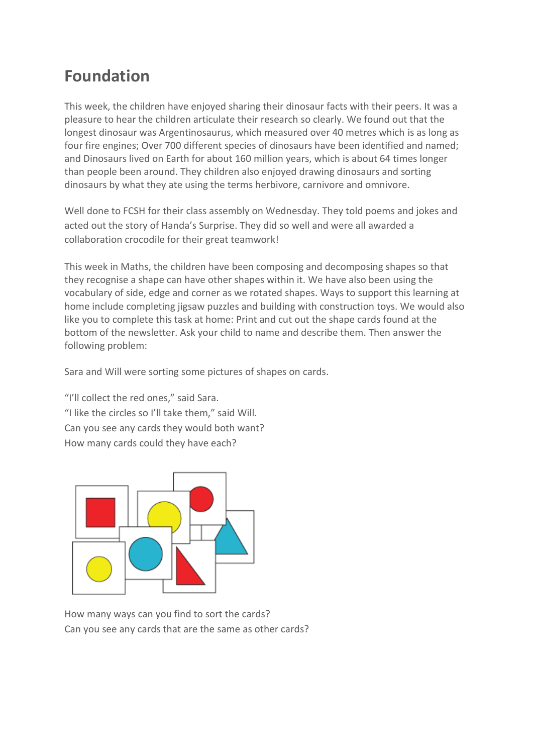## **Foundation**

This week, the children have enjoyed sharing their dinosaur facts with their peers. It was a pleasure to hear the children articulate their research so clearly. We found out that the longest dinosaur was Argentinosaurus, which measured over 40 metres which is as long as four fire engines; Over 700 different species of dinosaurs have been identified and named; and Dinosaurs lived on Earth for about 160 million years, which is about 64 times longer than people been around. They children also enjoyed drawing dinosaurs and sorting dinosaurs by what they ate using the terms herbivore, carnivore and omnivore.

Well done to FCSH for their class assembly on Wednesday. They told poems and jokes and acted out the story of Handa's Surprise. They did so well and were all awarded a collaboration crocodile for their great teamwork!

This week in Maths, the children have been composing and decomposing shapes so that they recognise a shape can have other shapes within it. We have also been using the vocabulary of side, edge and corner as we rotated shapes. Ways to support this learning at home include completing jigsaw puzzles and building with construction toys. We would also like you to complete this task at home: Print and cut out the shape cards found at the bottom of the newsletter. Ask your child to name and describe them. Then answer the following problem:

Sara and Will were sorting some pictures of shapes on cards.

"I'll collect the red ones," said Sara. "I like the circles so I'll take them," said Will. Can you see any cards they would both want? How many cards could they have each?



How many ways can you find to sort the cards? Can you see any cards that are the same as other cards?